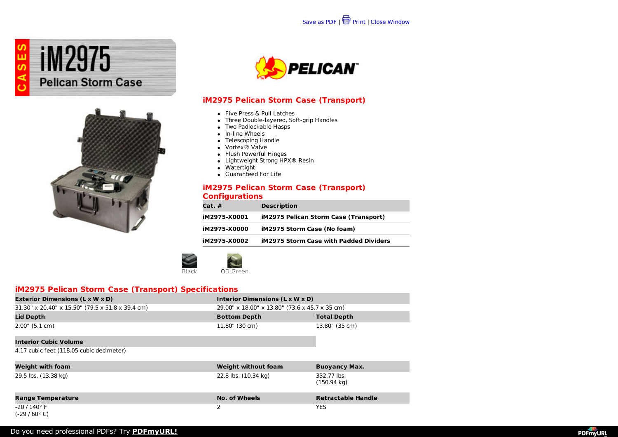





## **iM2975 Pelican Storm Case (Transport)**

- Five Press & Pull Latches
- Three Double-layered, Soft-grip Handles
- Two Padlockable Hasps
- In-line Wheels
- Telescoping Handle
- Vortex® Valve
- Flush Powerful Hinges
- Lightweight Strong HPX<sup>®</sup> Resin
- $\bullet$  Watertight
- Guaranteed For Life

#### **iM2975 Pelican Storm Case (Transport) Configurations**

| $Cat.$ #     | <b>Description</b>                            |
|--------------|-----------------------------------------------|
| iM2975-X0001 | <b>iM2975 Pelican Storm Case (Transport)</b>  |
| iM2975-X0000 | iM2975 Storm Case (No foam)                   |
| iM2975-X0002 | <b>iM2975 Storm Case with Padded Dividers</b> |



### **iM2975 Pelican Storm Case (Transport) Specifications**

| <b>Exterior Dimensions (L x W x D)</b>              | Interior Dimensions (L x W x D)                |                    |
|-----------------------------------------------------|------------------------------------------------|--------------------|
| $31.30''$ x 20.40" x 15.50" (79.5 x 51.8 x 39.4 cm) | 29.00" x 18.00" x 13.80" (73.6 x 45.7 x 35 cm) |                    |
| <b>Lid Depth</b>                                    | <b>Bottom Depth</b>                            | <b>Total Depth</b> |
| 2.00" (5.1 cm)                                      | 11.80" (30 cm)                                 | 13.80" (35 cm)     |
| Interior Cubic Volume                               |                                                |                    |

4.17 cubic feet (118.05 cubic decimeter)

| <b>Weight with foam</b>                            | <b>Weight without foam</b> | <b>Buoyancy Max.</b>                 |
|----------------------------------------------------|----------------------------|--------------------------------------|
| 29.5 lbs. (13.38 kg)                               | 22.8 lbs. (10.34 kg)       | 332.77 lbs.<br>$(150.94 \text{ kg})$ |
| <b>Range Temperature</b>                           | No. of Wheels              | <b>Retractable Handle</b>            |
| $-20/140^{\circ}$ F<br>$(-29/60^{\circ} \text{C})$ |                            | <b>YES</b>                           |